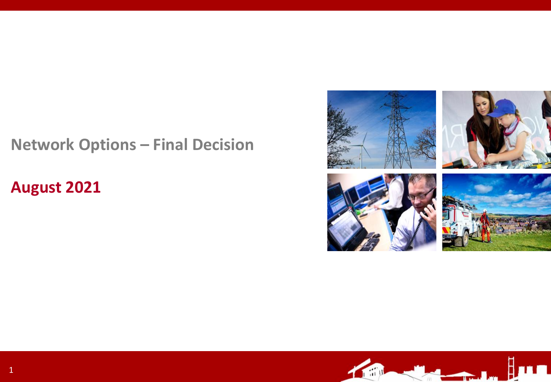# **Network Options – Final Decision**

## **August 2021**



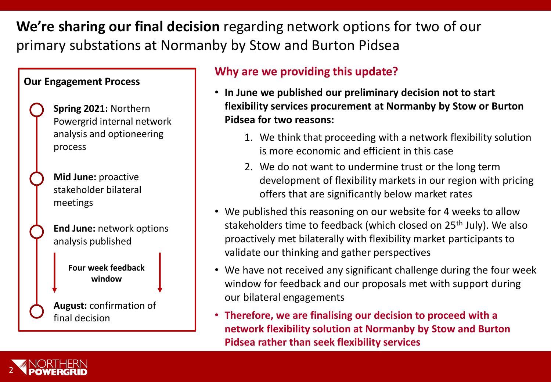**We're sharing our final decision** regarding network options for two of our primary substations at Normanby by Stow and Burton Pidsea

### **Our Engagement Process**



**Mid June:** proactive stakeholder bilateral meetings

**End June:** network options analysis published

> **Four week feedback window**

**August:** confirmation of final decision

### **Why are we providing this update?**

- **In June we published our preliminary decision not to start flexibility services procurement at Normanby by Stow or Burton Pidsea for two reasons:** 
	- 1. We think that proceeding with a network flexibility solution is more economic and efficient in this case
	- 2. We do not want to undermine trust or the long term development of flexibility markets in our region with pricing offers that are significantly below market rates
- We published this reasoning on our website for 4 weeks to allow stakeholders time to feedback (which closed on 25<sup>th</sup> July). We also proactively met bilaterally with flexibility market participants to validate our thinking and gather perspectives
- We have not received any significant challenge during the four week window for feedback and our proposals met with support during our bilateral engagements
- **Therefore, we are finalising our decision to proceed with a network flexibility solution at Normanby by Stow and Burton Pidsea rather than seek flexibility services**

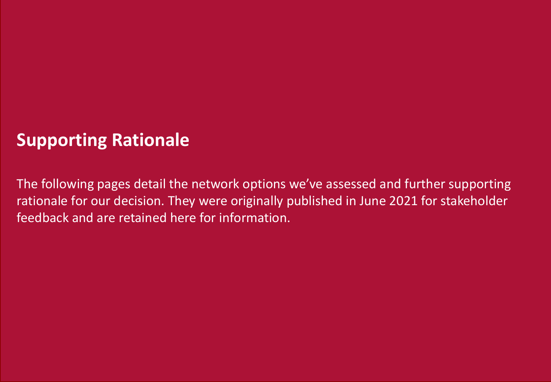# **Supporting Rationale**

The following pages detail the network options we've assessed and further supporting rationale for our decision. They were originally published in June 2021 for stakeholder feedback and are retained here for information.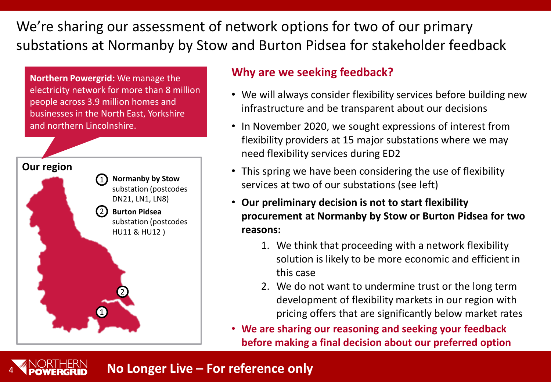We're sharing our assessment of network options for two of our primary substations at Normanby by Stow and Burton Pidsea for stakeholder feedback

**Northern Powergrid:** We manage the electricity network for more than 8 million people across 3.9 million homes and businesses in the North East, Yorkshire and northern Lincolnshire.



4

### **Why are we seeking feedback?**

- We will always consider flexibility services before building new infrastructure and be transparent about our decisions
- In November 2020, we sought expressions of interest from flexibility providers at 15 major substations where we may need flexibility services during ED2
- This spring we have been considering the use of flexibility services at two of our substations (see left)
- **Our preliminary decision is not to start flexibility procurement at Normanby by Stow or Burton Pidsea for two reasons:** 
	- 1. We think that proceeding with a network flexibility solution is likely to be more economic and efficient in this case
	- 2. We do not want to undermine trust or the long term development of flexibility markets in our region with pricing offers that are significantly below market rates
- **We are sharing our reasoning and seeking your feedback before making a final decision about our preferred option**

## **No Longer Live – For reference only**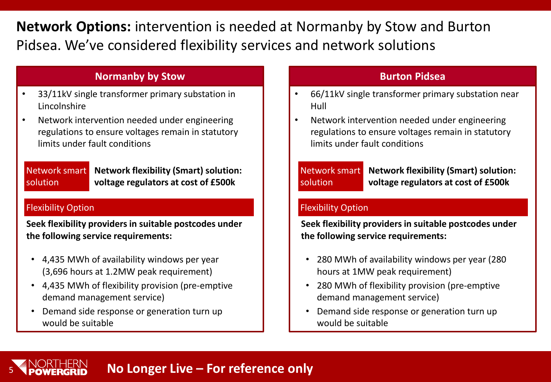## **Network Options:** intervention is needed at Normanby by Stow and Burton Pidsea. We've considered flexibility services and network solutions

### **Normanby by Stow Burton Pidsea**

- 33/11kV single transformer primary substation in Lincolnshire
- Network intervention needed under engineering regulations to ensure voltages remain in statutory limits under fault conditions

Network smart solution **Network flexibility (Smart) solution: voltage regulators at cost of £500k**

### Flexibility Option

5

**Seek flexibility providers in suitable postcodes under the following service requirements:**

- 4,435 MWh of availability windows per year (3,696 hours at 1.2MW peak requirement)
- 4,435 MWh of flexibility provision (pre-emptive demand management service)
- Demand side response or generation turn up would be suitable

- 66/11kV single transformer primary substation near Hull
- Network intervention needed under engineering regulations to ensure voltages remain in statutory limits under fault conditions

Network smart solution

**Network flexibility (Smart) solution: voltage regulators at cost of £500k**

### Flexibility Option

**Seek flexibility providers in suitable postcodes under the following service requirements:**

- 280 MWh of availability windows per year (280 hours at 1MW peak requirement)
- 280 MWh of flexibility provision (pre-emptive demand management service)
- Demand side response or generation turn up would be suitable

# **No Longer Live – For reference only**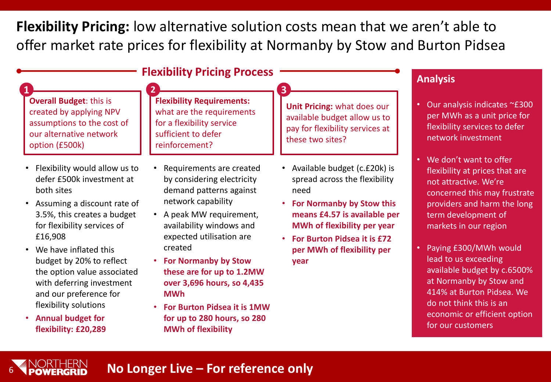**Flexibility Pricing:** low alternative solution costs mean that we aren't able to offer market rate prices for flexibility at Normanby by Stow and Burton Pidsea

| <b>Flexibility Pricing Process</b>                                                                                                                                                                                                                                                                                                                                                                                                 | <b>Analysis</b>                                                                                                                                                                                                                                                                                                                                                                                           |                                                                                                                                                                                                                                                       |                                                                                                                                                                                                                                                                                                                                                                                                                                       |
|------------------------------------------------------------------------------------------------------------------------------------------------------------------------------------------------------------------------------------------------------------------------------------------------------------------------------------------------------------------------------------------------------------------------------------|-----------------------------------------------------------------------------------------------------------------------------------------------------------------------------------------------------------------------------------------------------------------------------------------------------------------------------------------------------------------------------------------------------------|-------------------------------------------------------------------------------------------------------------------------------------------------------------------------------------------------------------------------------------------------------|---------------------------------------------------------------------------------------------------------------------------------------------------------------------------------------------------------------------------------------------------------------------------------------------------------------------------------------------------------------------------------------------------------------------------------------|
| <b>Overall Budget: this is</b><br>created by applying NPV<br>assumptions to the cost of<br>our alternative network<br>option (£500k)                                                                                                                                                                                                                                                                                               | <b>Flexibility Requirements:</b><br>what are the requirements<br>for a flexibility service<br>sufficient to defer<br>reinforcement?                                                                                                                                                                                                                                                                       | Unit Pricing: what does our<br>available budget allow us to<br>pay for flexibility services at<br>these two sites?                                                                                                                                    | Our analysis indicates ~£300<br>٠<br>per MWh as a unit price for<br>flexibility services to defer<br>network investment                                                                                                                                                                                                                                                                                                               |
| Flexibility would allow us to<br>$\bullet$<br>defer £500k investment at<br>both sites<br>Assuming a discount rate of<br>$\bullet$<br>3.5%, this creates a budget<br>for flexibility services of<br>£16,908<br>We have inflated this<br>budget by 20% to reflect<br>the option value associated<br>with deferring investment<br>and our preference for<br>flexibility solutions<br><b>Annual budget for</b><br>flexibility: £20,289 | Requirements are created<br>by considering electricity<br>demand patterns against<br>network capability<br>• A peak MW requirement,<br>availability windows and<br>expected utilisation are<br>created<br><b>For Normanby by Stow</b><br>these are for up to 1.2MW<br>over 3,696 hours, so 4,435<br><b>MWh</b><br>For Burton Pidsea it is 1MW<br>for up to 280 hours, so 280<br><b>MWh of flexibility</b> | • Available budget (c.£20k) is<br>spread across the flexibility<br>need<br>For Normanby by Stow this<br>$\bullet$<br>means £4.57 is available per<br>MWh of flexibility per year<br>For Burton Pidsea it is £72<br>per MWh of flexibility per<br>year | We don't want to offer<br>$\bullet$<br>flexibility at prices that are<br>not attractive. We're<br>concerned this may frustrate<br>providers and harm the long<br>term development of<br>markets in our region<br>Paying £300/MWh would<br>lead to us exceeding<br>available budget by c.6500%<br>at Normanby by Stow and<br>414% at Burton Pidsea. We<br>do not think this is an<br>economic or efficient option<br>for our customers |

## **No Longer Live – For reference only**

6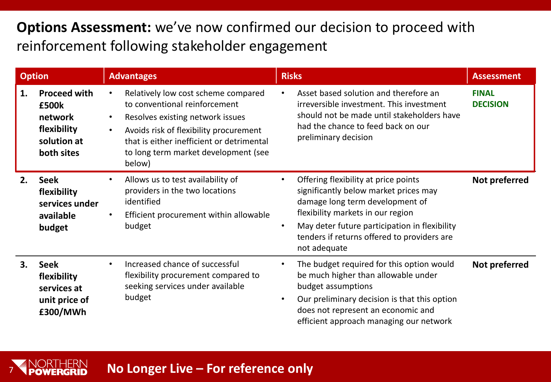## **Options Assessment:** we've now confirmed our decision to proceed with reinforcement following stakeholder engagement

| <b>Option</b> |                                                                                     | <b>Advantages</b>                                                                                                                                                                                                                                                           | <b>Risks</b>                                                                                                                                                                                                                                                                                    | <b>Assessment</b>               |
|---------------|-------------------------------------------------------------------------------------|-----------------------------------------------------------------------------------------------------------------------------------------------------------------------------------------------------------------------------------------------------------------------------|-------------------------------------------------------------------------------------------------------------------------------------------------------------------------------------------------------------------------------------------------------------------------------------------------|---------------------------------|
| 1.            | <b>Proceed with</b><br>£500k<br>network<br>flexibility<br>solution at<br>both sites | Relatively low cost scheme compared<br>to conventional reinforcement<br>Resolves existing network issues<br>$\bullet$<br>Avoids risk of flexibility procurement<br>$\bullet$<br>that is either inefficient or detrimental<br>to long term market development (see<br>below) | Asset based solution and therefore an<br>irreversible investment. This investment<br>should not be made until stakeholders have<br>had the chance to feed back on our<br>preliminary decision                                                                                                   | <b>FINAL</b><br><b>DECISION</b> |
| 2.            | <b>Seek</b><br>flexibility<br>services under<br>available<br>budget                 | Allows us to test availability of<br>$\bullet$<br>providers in the two locations<br>identified<br>Efficient procurement within allowable<br>$\bullet$<br>budget                                                                                                             | Offering flexibility at price points<br>$\bullet$<br>significantly below market prices may<br>damage long term development of<br>flexibility markets in our region<br>May deter future participation in flexibility<br>$\bullet$<br>tenders if returns offered to providers are<br>not adequate | Not preferred                   |
| 3.            | <b>Seek</b><br>flexibility<br>services at<br>unit price of<br>£300/MWh              | Increased chance of successful<br>$\bullet$<br>flexibility procurement compared to<br>seeking services under available<br>budget                                                                                                                                            | The budget required for this option would<br>٠<br>be much higher than allowable under<br>budget assumptions<br>Our preliminary decision is that this option<br>$\bullet$<br>does not represent an economic and<br>efficient approach managing our network                                       | Not preferred                   |

## **No Longer Live – For reference only**

7